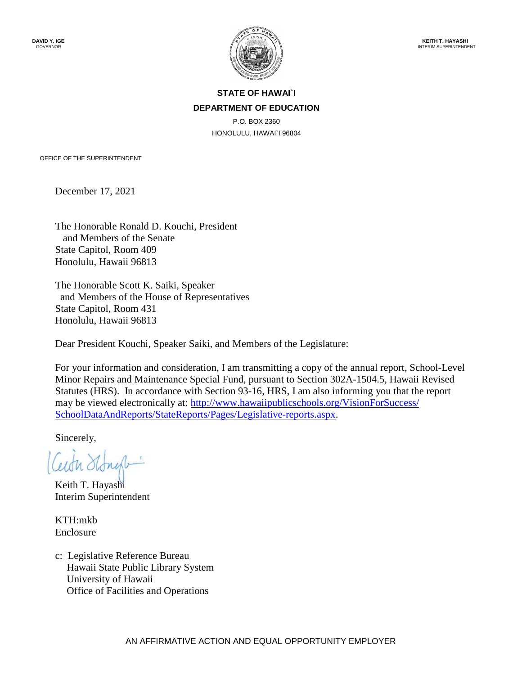

## **STATE OF HAWAI`I DEPARTMENT OF EDUCATION**

P.O. BOX 2360 HONOLULU, HAWAI`I 96804

OFFICE OF THE SUPERINTENDENT

December 17, 2021

The Honorable Ronald D. Kouchi, President and Members of the Senate State Capitol, Room 409 Honolulu, Hawaii 96813

The Honorable Scott K. Saiki, Speaker and Members of the House of Representatives State Capitol, Room 431 Honolulu, Hawaii 96813

Dear President Kouchi, Speaker Saiki, and Members of the Legislature:

For your information and consideration, I am transmitting a copy of the annual report, School-Level Minor Repairs and Maintenance Special Fund, pursuant to Section 302A-1504.5, Hawaii Revised Statutes (HRS). In accordance with Section 93-16, HRS, I am also informing you that the report may be viewed electronically at: http://www.hawaiipublicschools.org/VisionForSuccess/ [SchoolDataAndReports/StateReports/Pages/Legislative-reports.aspx.](http://www.hawaiipublicschools.org/VisionForSuccess/SchoolDataAndReports/StateReports/Pages/Legislative-reports.aspx)

Sincerely,

Keith T. Hayashi Interim Superintendent

KTH:mkb Enclosure

c: Legislative Reference Bureau Hawaii State Public Library System University of Hawaii Office of Facilities and Operations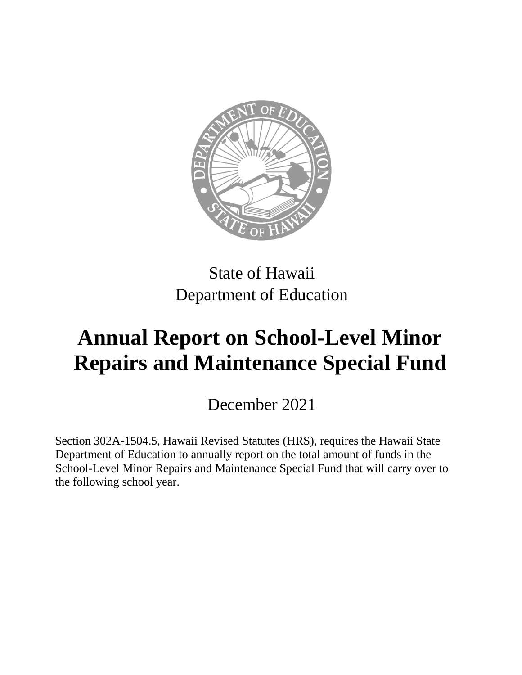

## State of Hawaii Department of Education

## **Annual Report on School-Level Minor Repairs and Maintenance Special Fund**

December 2021

Section 302A-1504.5, Hawaii Revised Statutes (HRS), requires the Hawaii State Department of Education to annually report on the total amount of funds in the School-Level Minor Repairs and Maintenance Special Fund that will carry over to the following school year.